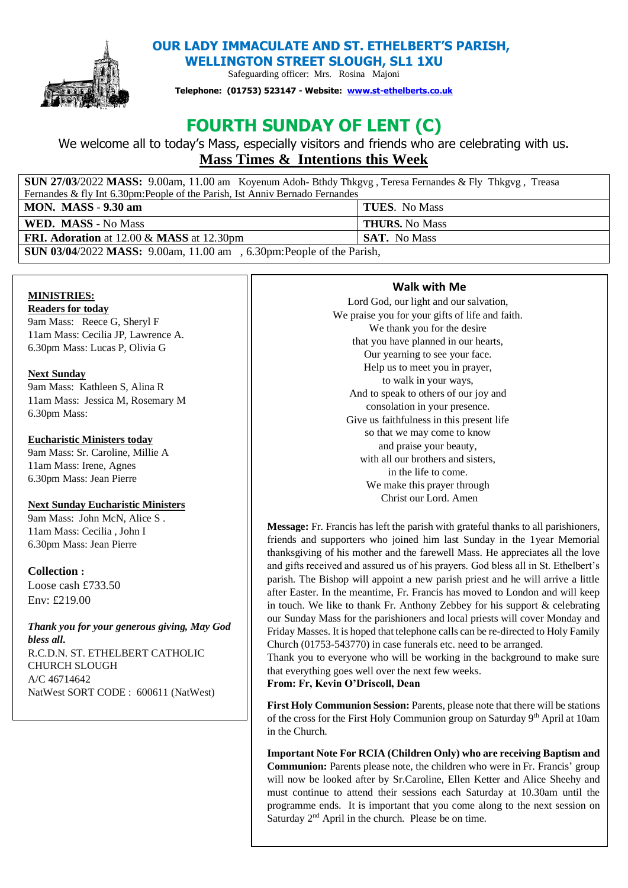

 **OUR LADY IMMACULATE AND ST. ETHELBERT'S PARISH, WELLINGTON STREET SLOUGH, SL1 1XU** 

Safeguarding officer: Mrs. Rosina Majoni

**Telephone: (01753) 523147 - Website: [www.st-ethelberts.co.uk](about:blank)**

# **FOURTH SUNDAY OF LENT (C)**

We welcome all to today's Mass, especially visitors and friends who are celebrating with us. **Mass Times & Intentions this Week** 

| <b>SUN 27/03/2022 MASS:</b> 9.00am, 11.00 am Koyenum Adoh-Bthdy Thkgyg, Teresa Fernandes & Fly Thkgyg, Treasa |                       |
|---------------------------------------------------------------------------------------------------------------|-----------------------|
| Fernandes & fly Int 6.30pm: People of the Parish, Ist Anniv Bernado Fernandes                                 |                       |
| <b>MON.</b> MASS - 9.30 am                                                                                    | <b>TUES.</b> No Mass  |
| WED. MASS - No Mass                                                                                           | <b>THURS.</b> No Mass |
| <b>FRI. Adoration</b> at 12.00 & <b>MASS</b> at 12.30pm                                                       | <b>SAT.</b> No Mass   |
| <b>SUN 03/04/2022 MASS:</b> 9.00am, 11.00 am, 6.30pm: People of the Parish,                                   |                       |

# **MINISTRIES:**

**Readers for today** 9am Mass: Reece G, Sheryl F 11am Mass: Cecilia JP, Lawrence A. 6.30pm Mass: Lucas P, Olivia G

# **Next Sunday**

9am Mass: Kathleen S, Alina R 11am Mass: Jessica M, Rosemary M 6.30pm Mass:

# **Eucharistic Ministers today**

9am Mass: Sr. Caroline, Millie A 11am Mass: Irene, Agnes 6.30pm Mass: Jean Pierre

# **Next Sunday Eucharistic Ministers**

9am Mass: John McN, Alice S . 11am Mass: Cecilia , John I 6.30pm Mass: Jean Pierre

# **Collection :**

Loose cash £733.50 Env: £219.00

*Thank you for your generous giving, May God bless all***.**  R.C.D.N. ST. ETHELBERT CATHOLIC CHURCH SLOUGH A/C 46714642 NatWest SORT CODE : 600611 (NatWest)

# **Walk with Me**

Lord God, our light and our salvation, We praise you for your gifts of life and faith. We thank you for the desire that you have planned in our hearts, Our yearning to see your face. Help us to meet you in prayer, to walk in your ways, And to speak to others of our joy and consolation in your presence. Give us faithfulness in this present life so that we may come to know and praise your beauty, with all our brothers and sisters. in the life to come. We make this prayer through Christ our Lord. Amen

**Message:** Fr. Francis has left the parish with grateful thanks to all parishioners, friends and supporters who joined him last Sunday in the 1year Memorial thanksgiving of his mother and the farewell Mass. He appreciates all the love and gifts received and assured us of his prayers. God bless all in St. Ethelbert's parish. The Bishop will appoint a new parish priest and he will arrive a little after Easter. In the meantime, Fr. Francis has moved to London and will keep in touch. We like to thank Fr. Anthony Zebbey for his support  $\&$  celebrating our Sunday Mass for the parishioners and local priests will cover Monday and Friday Masses. It is hoped that telephone calls can be re-directed to Holy Family Church (01753-543770) in case funerals etc. need to be arranged.

Thank you to everyone who will be working in the background to make sure that everything goes well over the next few weeks.

**From: Fr, Kevin O'Driscoll, Dean**

First Holy Communion Session: Parents, please note that there will be stations of the cross for the First Holy Communion group on Saturday 9<sup>th</sup> April at 10am in the Church.

**Important Note For RCIA (Children Only) who are receiving Baptism and Communion:** Parents please note, the children who were in Fr. Francis' group will now be looked after by Sr.Caroline, Ellen Ketter and Alice Sheehy and must continue to attend their sessions each Saturday at 10.30am until the programme ends. It is important that you come along to the next session on Saturday 2<sup>nd</sup> April in the church. Please be on time.